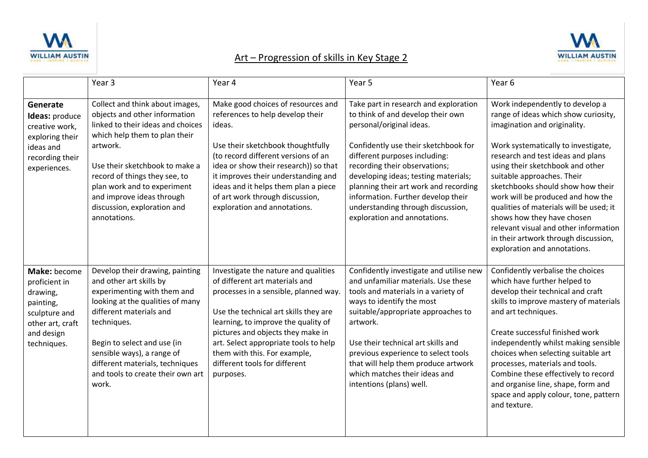



## Art – Progression of skills in Key Stage 2

|                                                                                                                          | Year <sub>3</sub>                                                                                                                                                                                                                                                                                                                | Year 4                                                                                                                                                                                                                                                                                                                                                      | Year 5                                                                                                                                                                                                                                                                                                                                                                                                       | Year <sub>6</sub>                                                                                                                                                                                                                                                                                                                                                                                                                                                                                                         |
|--------------------------------------------------------------------------------------------------------------------------|----------------------------------------------------------------------------------------------------------------------------------------------------------------------------------------------------------------------------------------------------------------------------------------------------------------------------------|-------------------------------------------------------------------------------------------------------------------------------------------------------------------------------------------------------------------------------------------------------------------------------------------------------------------------------------------------------------|--------------------------------------------------------------------------------------------------------------------------------------------------------------------------------------------------------------------------------------------------------------------------------------------------------------------------------------------------------------------------------------------------------------|---------------------------------------------------------------------------------------------------------------------------------------------------------------------------------------------------------------------------------------------------------------------------------------------------------------------------------------------------------------------------------------------------------------------------------------------------------------------------------------------------------------------------|
| Generate<br>Ideas: produce<br>creative work,<br>exploring their<br>ideas and<br>recording their<br>experiences.          | Collect and think about images,<br>objects and other information<br>linked to their ideas and choices<br>which help them to plan their<br>artwork.<br>Use their sketchbook to make a<br>record of things they see, to<br>plan work and to experiment<br>and improve ideas through<br>discussion, exploration and<br>annotations. | Make good choices of resources and<br>references to help develop their<br>ideas.<br>Use their sketchbook thoughtfully<br>(to record different versions of an<br>idea or show their research)) so that<br>it improves their understanding and<br>ideas and it helps them plan a piece<br>of art work through discussion,<br>exploration and annotations.     | Take part in research and exploration<br>to think of and develop their own<br>personal/original ideas.<br>Confidently use their sketchbook for<br>different purposes including:<br>recording their observations;<br>developing ideas; testing materials;<br>planning their art work and recording<br>information. Further develop their<br>understanding through discussion,<br>exploration and annotations. | Work independently to develop a<br>range of ideas which show curiosity,<br>imagination and originality.<br>Work systematically to investigate,<br>research and test ideas and plans<br>using their sketchbook and other<br>suitable approaches. Their<br>sketchbooks should show how their<br>work will be produced and how the<br>qualities of materials will be used; it<br>shows how they have chosen<br>relevant visual and other information<br>in their artwork through discussion,<br>exploration and annotations. |
| Make: become<br>proficient in<br>drawing,<br>painting,<br>sculpture and<br>other art, craft<br>and design<br>techniques. | Develop their drawing, painting<br>and other art skills by<br>experimenting with them and<br>looking at the qualities of many<br>different materials and<br>techniques.<br>Begin to select and use (in<br>sensible ways), a range of<br>different materials, techniques<br>and tools to create their own art<br>work.            | Investigate the nature and qualities<br>of different art materials and<br>processes in a sensible, planned way.<br>Use the technical art skills they are<br>learning, to improve the quality of<br>pictures and objects they make in<br>art. Select appropriate tools to help<br>them with this. For example,<br>different tools for different<br>purposes. | Confidently investigate and utilise new<br>and unfamiliar materials. Use these<br>tools and materials in a variety of<br>ways to identify the most<br>suitable/appropriate approaches to<br>artwork.<br>Use their technical art skills and<br>previous experience to select tools<br>that will help them produce artwork<br>which matches their ideas and<br>intentions (plans) well.                        | Confidently verbalise the choices<br>which have further helped to<br>develop their technical and craft<br>skills to improve mastery of materials<br>and art techniques.<br>Create successful finished work<br>independently whilst making sensible<br>choices when selecting suitable art<br>processes, materials and tools.<br>Combine these effectively to record<br>and organise line, shape, form and<br>space and apply colour, tone, pattern<br>and texture.                                                        |